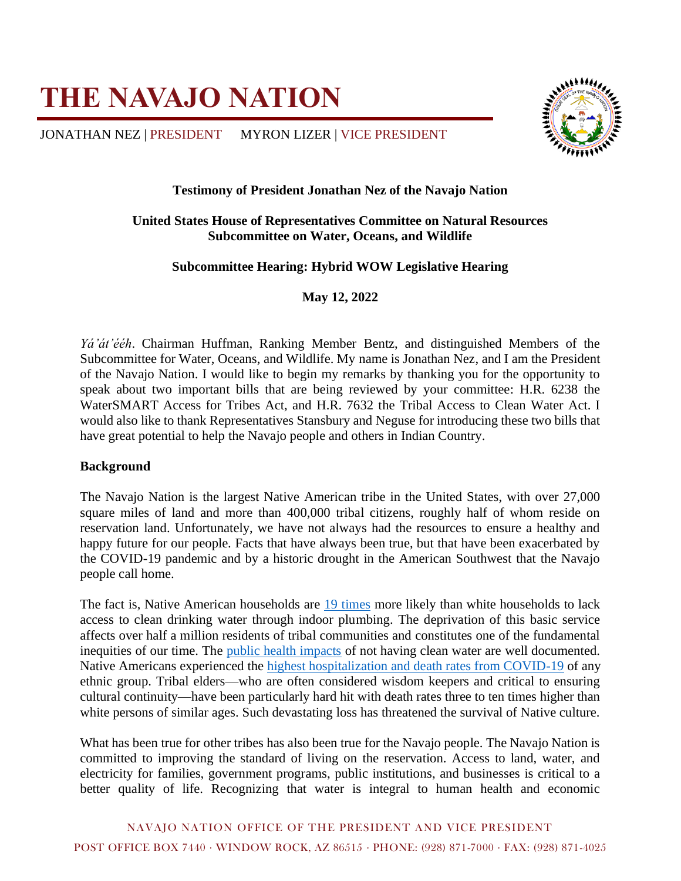# **THE NAVAJO NATION**

JONATHAN NEZ | PRESIDENT MYRON LIZER | VICE PRESIDENT



## **Testimony of President Jonathan Nez of the Navajo Nation**

### **United States House of Representatives Committee on Natural Resources Subcommittee on Water, Oceans, and Wildlife**

## **Subcommittee Hearing: Hybrid WOW Legislative Hearing**

**May 12, 2022**

*Yá'át'ééh*. Chairman Huffman, Ranking Member Bentz, and distinguished Members of the Subcommittee for Water, Oceans, and Wildlife. My name is Jonathan Nez, and I am the President of the Navajo Nation. I would like to begin my remarks by thanking you for the opportunity to speak about two important bills that are being reviewed by your committee: H.R. 6238 the WaterSMART Access for Tribes Act, and H.R. 7632 the Tribal Access to Clean Water Act. I would also like to thank Representatives Stansbury and Neguse for introducing these two bills that have great potential to help the Navajo people and others in Indian Country.

#### **Background**

The Navajo Nation is the largest Native American tribe in the United States, with over 27,000 square miles of land and more than 400,000 tribal citizens, roughly half of whom reside on reservation land. Unfortunately, we have not always had the resources to ensure a healthy and happy future for our people. Facts that have always been true, but that have been exacerbated by the COVID-19 pandemic and by a historic drought in the American Southwest that the Navajo people call home.

The fact is, Native American households are [19 times](http://uswateralliance.org/sites/uswateralliance.org/files/publications/Closing%20the%20Water%20Access%20Gap%20in%20the%20United%20States_DIGITAL.pdf) more likely than white households to lack access to clean drinking water through indoor plumbing. The deprivation of this basic service affects over half a million residents of tribal communities and constitutes one of the fundamental inequities of our time. The [public health impacts](https://www.who.int/news-room/fact-sheets/detail/drinking-water) of not having clean water are well documented. Native Americans experienced the [highest hospitalization and death rates from COVID-19](https://www.cdc.gov/coronavirus/2019-ncov/covid-data/investigations-discovery/hospitalization-death-by-race-ethnicity.html) of any ethnic group. Tribal elders—who are often considered wisdom keepers and critical to ensuring cultural continuity—have been particularly hard hit with death rates three to ten times higher than white persons of similar ages. Such devastating loss has threatened the survival of Native culture.

What has been true for other tribes has also been true for the Navajo people. The Navajo Nation is committed to improving the standard of living on the reservation. Access to land, water, and electricity for families, government programs, public institutions, and businesses is critical to a better quality of life. Recognizing that water is integral to human health and economic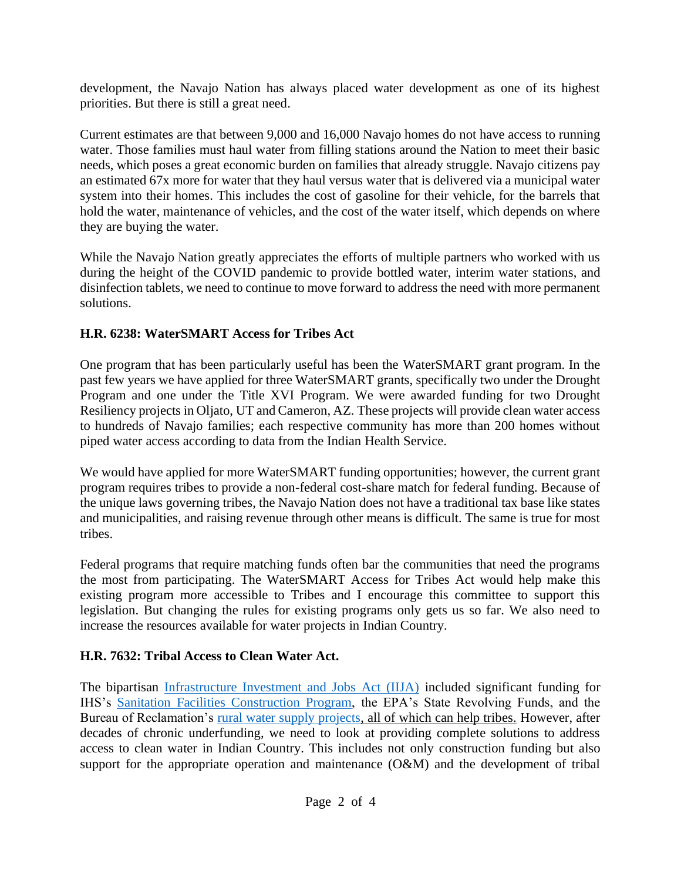development, the Navajo Nation has always placed water development as one of its highest priorities. But there is still a great need.

Current estimates are that between 9,000 and 16,000 Navajo homes do not have access to running water. Those families must haul water from filling stations around the Nation to meet their basic needs, which poses a great economic burden on families that already struggle. Navajo citizens pay an estimated 67x more for water that they haul versus water that is delivered via a municipal water system into their homes. This includes the cost of gasoline for their vehicle, for the barrels that hold the water, maintenance of vehicles, and the cost of the water itself, which depends on where they are buying the water.

While the Navajo Nation greatly appreciates the efforts of multiple partners who worked with us during the height of the COVID pandemic to provide bottled water, interim water stations, and disinfection tablets, we need to continue to move forward to address the need with more permanent solutions.

# **H.R. 6238: WaterSMART Access for Tribes Act**

One program that has been particularly useful has been the WaterSMART grant program. In the past few years we have applied for three WaterSMART grants, specifically two under the Drought Program and one under the Title XVI Program. We were awarded funding for two Drought Resiliency projects in Oljato, UT and Cameron, AZ. These projects will provide clean water access to hundreds of Navajo families; each respective community has more than 200 homes without piped water access according to data from the Indian Health Service.

We would have applied for more WaterSMART funding opportunities; however, the current grant program requires tribes to provide a non-federal cost-share match for federal funding. Because of the unique laws governing tribes, the Navajo Nation does not have a traditional tax base like states and municipalities, and raising revenue through other means is difficult. The same is true for most tribes.

Federal programs that require matching funds often bar the communities that need the programs the most from participating. The WaterSMART Access for Tribes Act would help make this existing program more accessible to Tribes and I encourage this committee to support this legislation. But changing the rules for existing programs only gets us so far. We also need to increase the resources available for water projects in Indian Country.

# **H.R. 7632: Tribal Access to Clean Water Act.**

The bipartisan [Infrastructure Investment and Jobs Act \(IIJA\)](https://www.congress.gov/bill/117th-congress/house-bill/3684) included significant funding for IHS's [Sanitation Facilities Construction Program,](https://www.ihs.gov/dsfc/) the EPA's State Revolving Funds, and the Bureau of Reclamation's [rural water supply projects,](https://www.usbr.gov/bil/docs/spendplan-2022/Reclamation-BIL_Spend_Plan_2022.pdf) all of which can help tribes. However, after decades of chronic underfunding, we need to look at providing complete solutions to address access to clean water in Indian Country. This includes not only construction funding but also support for the appropriate operation and maintenance (O&M) and the development of tribal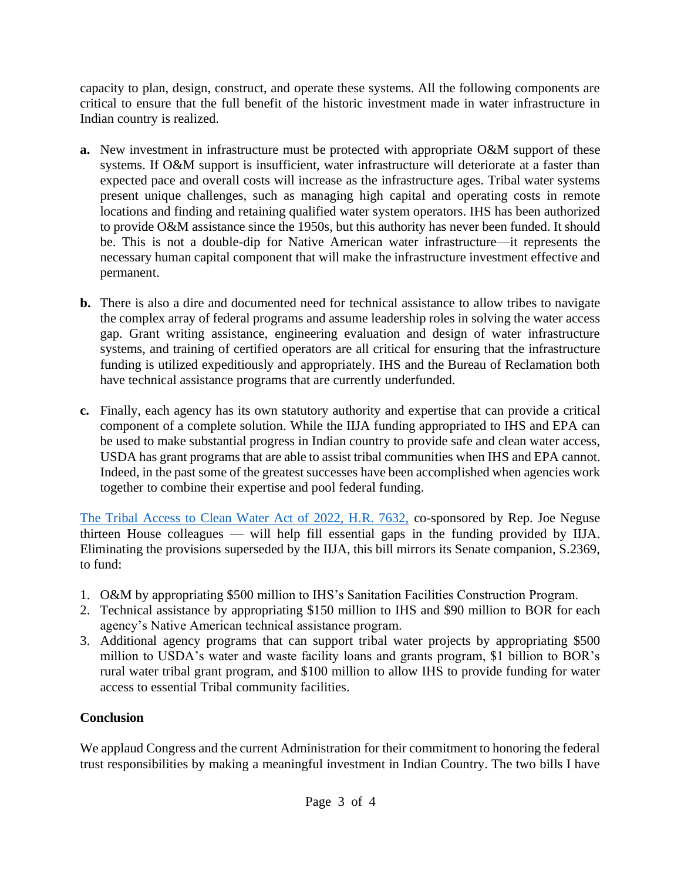capacity to plan, design, construct, and operate these systems. All the following components are critical to ensure that the full benefit of the historic investment made in water infrastructure in Indian country is realized.

- **a.** New investment in infrastructure must be protected with appropriate O&M support of these systems. If O&M support is insufficient, water infrastructure will deteriorate at a faster than expected pace and overall costs will increase as the infrastructure ages. Tribal water systems present unique challenges, such as managing high capital and operating costs in remote locations and finding and retaining qualified water system operators. IHS has been authorized to provide O&M assistance since the 1950s, but this authority has never been funded. It should be. This is not a double-dip for Native American water infrastructure—it represents the necessary human capital component that will make the infrastructure investment effective and permanent.
- **b.** There is also a dire and documented need for technical assistance to allow tribes to navigate the complex array of federal programs and assume leadership roles in solving the water access gap. Grant writing assistance, engineering evaluation and design of water infrastructure systems, and training of certified operators are all critical for ensuring that the infrastructure funding is utilized expeditiously and appropriately. IHS and the Bureau of Reclamation both have technical assistance programs that are currently underfunded.
- **c.** Finally, each agency has its own statutory authority and expertise that can provide a critical component of a complete solution. While the IIJA funding appropriated to IHS and EPA can be used to make substantial progress in Indian country to provide safe and clean water access, USDA has grant programs that are able to assist tribal communities when IHS and EPA cannot. Indeed, in the past some of the greatest successes have been accomplished when agencies work together to combine their expertise and pool federal funding.

[The Tribal Access to Clean Water Act of 2022, H.R. 7632,](https://www.congress.gov/bill/117th-congress/house-bill/7632?r=1&s=1) co-sponsored by Rep. Joe Neguse thirteen House colleagues — will help fill essential gaps in the funding provided by IIJA. Eliminating the provisions superseded by the IIJA, this bill mirrors its Senate companion, S.2369, to fund:

- 1. O&M by appropriating \$500 million to IHS's Sanitation Facilities Construction Program.
- 2. Technical assistance by appropriating \$150 million to IHS and \$90 million to BOR for each agency's Native American technical assistance program.
- 3. Additional agency programs that can support tribal water projects by appropriating \$500 million to USDA's water and waste facility loans and grants program, \$1 billion to BOR's rural water tribal grant program, and \$100 million to allow IHS to provide funding for water access to essential Tribal community facilities.

# **Conclusion**

We applaud Congress and the current Administration for their commitment to honoring the federal trust responsibilities by making a meaningful investment in Indian Country. The two bills I have